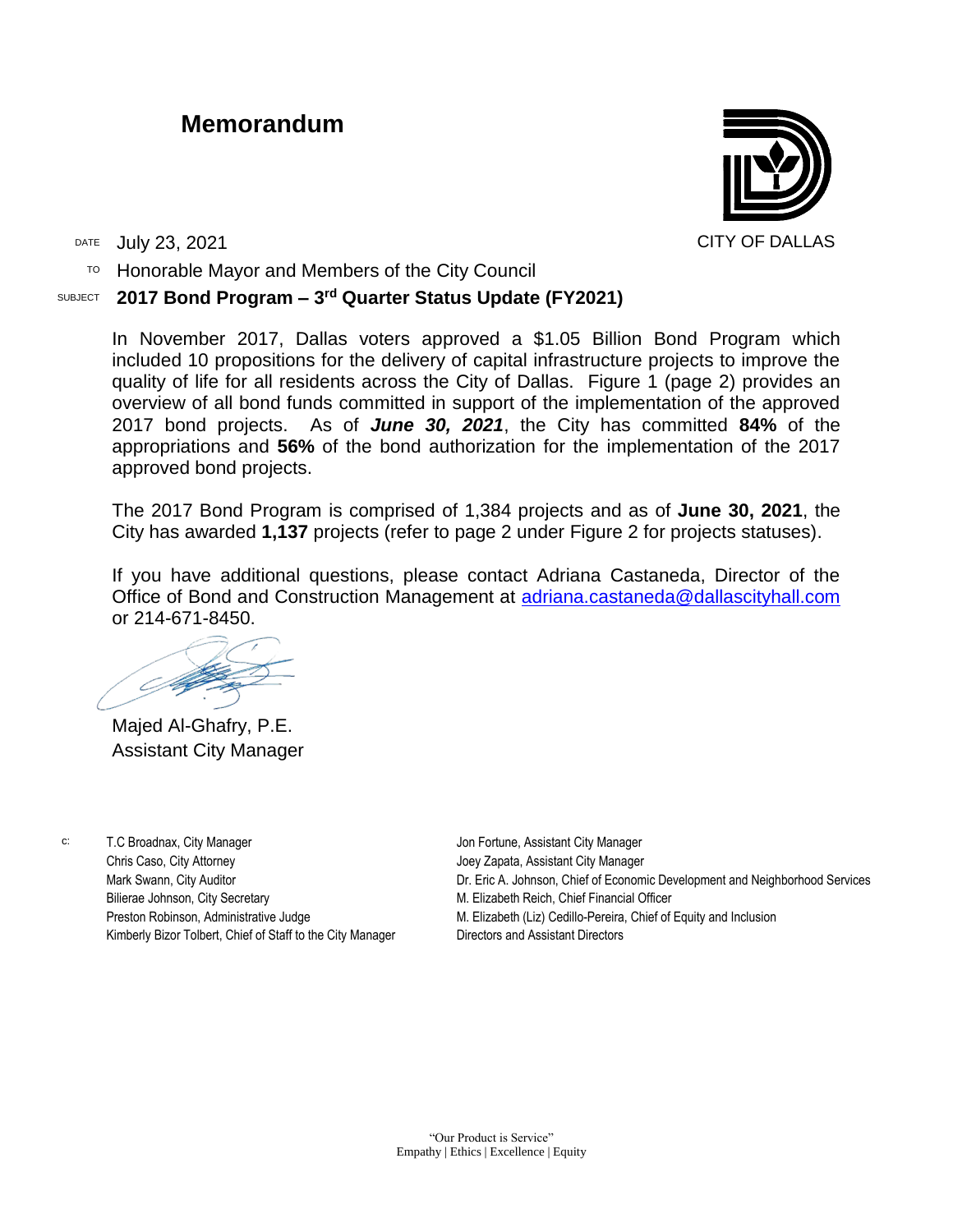## **Memorandum**

DATE July 23, 2021 CITY OF DALLAS

TO Honorable Mayor and Members of the City Council

## SUBJECT **2017 Bond Program – 3 rd Quarter Status Update (FY2021)**

In November 2017, Dallas voters approved a \$1.05 Billion Bond Program which included 10 propositions for the delivery of capital infrastructure projects to improve the quality of life for all residents across the City of Dallas. Figure 1 (page 2) provides an overview of all bond funds committed in support of the implementation of the approved 2017 bond projects. As of *June 30, 2021*, the City has committed **84%** of the appropriations and **56%** of the bond authorization for the implementation of the 2017 approved bond projects.

The 2017 Bond Program is comprised of 1,384 projects and as of **June 30, 2021**, the City has awarded **1,137** projects (refer to page 2 under Figure 2 for projects statuses).

If you have additional questions, please contact Adriana Castaneda, Director of the Office of Bond and Construction Management at [adriana.castaneda@dallascityhall.com](mailto:adriana.castaneda@dallascityhall.com) or 214-671-8450.

Majed Al-Ghafry, P.E. Assistant City Manager

c: T.C Broadnax, City Manager Chris Caso, City Attorney Mark Swann, City Auditor Bilierae Johnson, City Secretary Preston Robinson, Administrative Judge Kimberly Bizor Tolbert, Chief of Staff to the City Manager

Jon Fortune, Assistant City Manager Joey Zapata, Assistant City Manager Dr. Eric A. Johnson, Chief of Economic Development and Neighborhood Services M. Elizabeth Reich, Chief Financial Officer M. Elizabeth (Liz) Cedillo-Pereira, Chief of Equity and Inclusion Directors and Assistant Directors